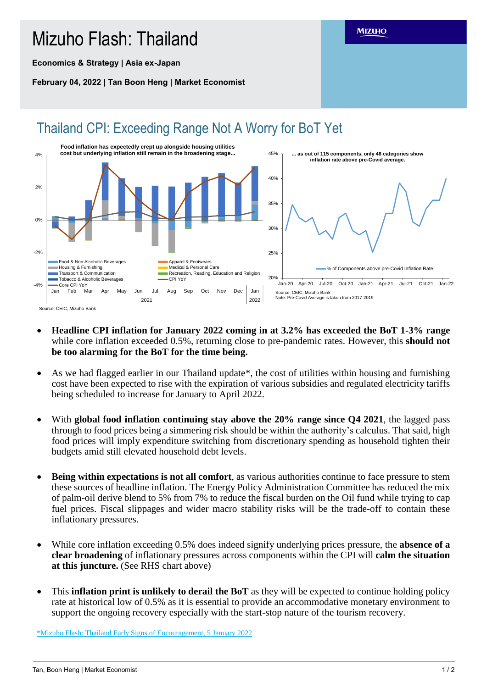## Mizuho Flash: Thailand

**Economics & Strategy | Asia ex-Japan**

**February 04, 2022 | Tan Boon Heng | Market Economist**



- **Headline CPI inflation for January 2022 coming in at 3.2% has exceeded the BoT 1-3% range** while core inflation exceeded 0.5%, returning close to pre-pandemic rates. However, this **should not be too alarming for the BoT for the time being.**
- As we had flagged earlier in our Thailand update\*, the cost of utilities within housing and furnishing cost have been expected to rise with the expiration of various subsidies and regulated electricity tariffs being scheduled to increase for January to April 2022.
- With **global food inflation continuing stay above the 20% range since Q4 2021**, the lagged pass through to food prices being a simmering risk should be within the authority's calculus. That said, high food prices will imply expenditure switching from discretionary spending as household tighten their budgets amid still elevated household debt levels.
- **Being within expectations is not all comfort**, as various authorities continue to face pressure to stem these sources of headline inflation. The Energy Policy Administration Committee has reduced the mix of palm-oil derive blend to 5% from 7% to reduce the fiscal burden on the Oil fund while trying to cap fuel prices. Fiscal slippages and wider macro stability risks will be the trade-off to contain these inflationary pressures.
- While core inflation exceeding 0.5% does indeed signify underlying prices pressure, the **absence of a clear broadening** of inflationary pressures across components within the CPI will **calm the situation at this juncture.** (See RHS chart above)
- This **inflation print is unlikely to derail the BoT** as they will be expected to continue holding policy rate at historical low of 0.5% as it is essential to provide an accommodative monetary environment to support the ongoing recovery especially with the start-stop nature of the tourism recovery.

\*Mizuho Flash: [Thailand Early Signs of Encouragement, 5 January](https://www.mizuhogroup.com/binaries/content/assets/pdf/singapore/macro/ad-hoc/flash/mizuho-flash_thailand_220105.pdf) 2022